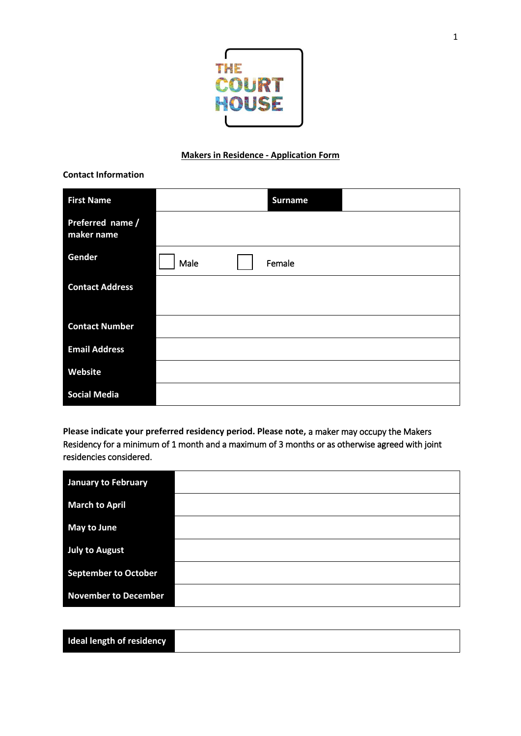

## **Makers in Residence - Application Form**

| <b>First Name</b>              | <b>Surname</b> |
|--------------------------------|----------------|
| Preferred name /<br>maker name |                |
| Gender                         | Male<br>Female |
| <b>Contact Address</b>         |                |
| <b>Contact Number</b>          |                |
| <b>Email Address</b>           |                |
| Website                        |                |
| <b>Social Media</b>            |                |

**Please indicate your preferred residency period. Please note,** a maker may occupy the Makers Residency for a minimum of 1 month and a maximum of 3 months or as otherwise agreed with joint residencies considered.

| <b>January to February</b>  |  |
|-----------------------------|--|
| <b>March to April</b>       |  |
| <b>May to June</b>          |  |
| <b>July to August</b>       |  |
| <b>September to October</b> |  |
| <b>November to December</b> |  |

| <b>Ideal length of residency</b> |  |  |  |
|----------------------------------|--|--|--|
|----------------------------------|--|--|--|

**Contact Information**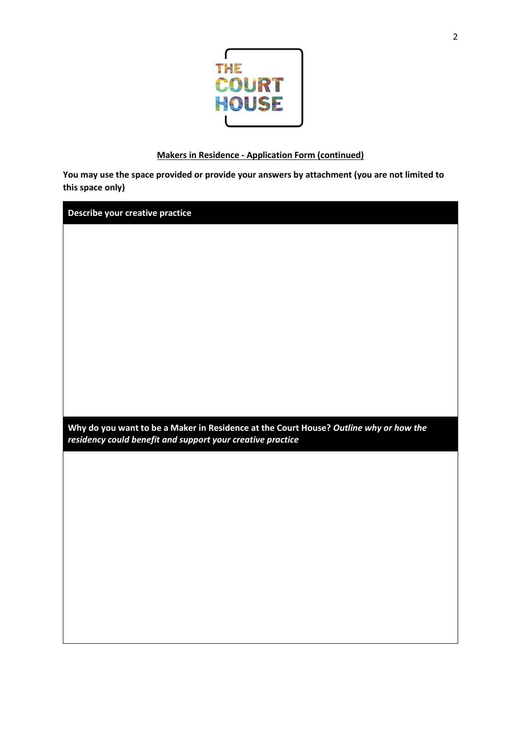

## **Makers in Residence - Application Form (continued)**

**You may use the space provided or provide your answers by attachment (you are not limited to this space only)**

**Describe your creative practice** 

**Why do you want to be a Maker in Residence at the Court House?** *Outline why or how the residency could benefit and support your creative practice*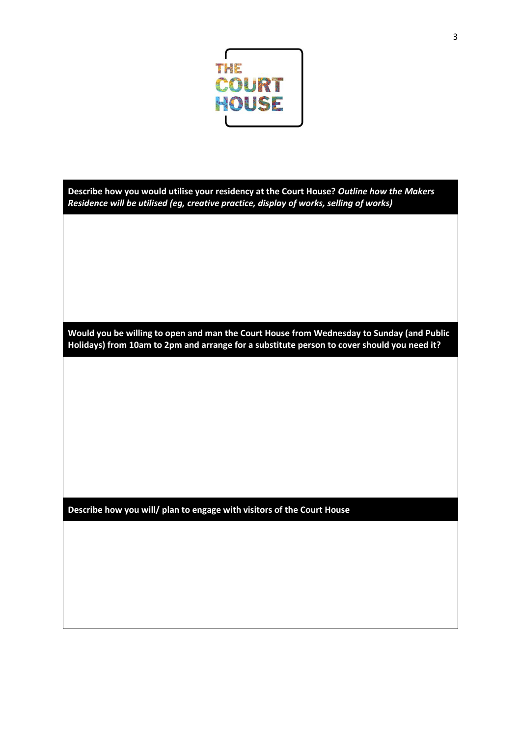

| Describe how you would utilise your residency at the Court House? Outline how the Makers |
|------------------------------------------------------------------------------------------|
| Residence will be utilised (eg, creative practice, display of works, selling of works)   |

**Would you be willing to open and man the Court House from Wednesday to Sunday (and Public Holidays) from 10am to 2pm and arrange for a substitute person to cover should you need it?** 

**Describe how you will/ plan to engage with visitors of the Court House**